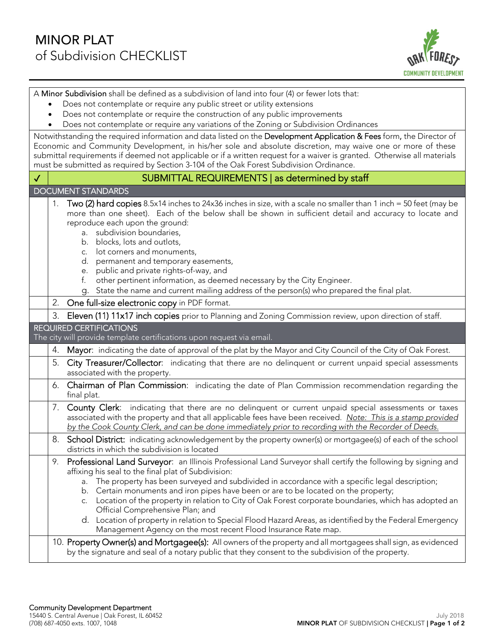

A Minor Subdivision shall be defined as a subdivision of land into four (4) or fewer lots that:

- Does not contemplate or require any public street or utility extensions
- Does not contemplate or require the construction of any public improvements
- Does not contemplate or require any variations of the Zoning or Subdivision Ordinances

Notwithstanding the required information and data listed on the Development Application & Fees form, the Director of Economic and Community Development, in his/her sole and absolute discretion, may waive one or more of these submittal requirements if deemed not applicable or if a written request for a waiver is granted. Otherwise all materials must be submitted as required by Section 3-104 of the Oak Forest Subdivision Ordinance.

|              | must be submitted as required by Section 3-104 of the Oak Forest Subdivision Ordinance.                                                                                                                                                                                                                                                                                                                                                                                                                                                                                                                                                                                                                  |
|--------------|----------------------------------------------------------------------------------------------------------------------------------------------------------------------------------------------------------------------------------------------------------------------------------------------------------------------------------------------------------------------------------------------------------------------------------------------------------------------------------------------------------------------------------------------------------------------------------------------------------------------------------------------------------------------------------------------------------|
| $\checkmark$ | SUBMITTAL REQUIREMENTS   as determined by staff                                                                                                                                                                                                                                                                                                                                                                                                                                                                                                                                                                                                                                                          |
|              | <b>DOCUMENT STANDARDS</b>                                                                                                                                                                                                                                                                                                                                                                                                                                                                                                                                                                                                                                                                                |
|              | Two (2) hard copies 8.5x14 inches to 24x36 inches in size, with a scale no smaller than 1 inch = 50 feet (may be<br>1.<br>more than one sheet). Each of the below shall be shown in sufficient detail and accuracy to locate and<br>reproduce each upon the ground:<br>subdivision boundaries,<br>a.<br>blocks, lots and outlots,<br>b.<br>c. lot corners and monuments,<br>d. permanent and temporary easements,<br>public and private rights-of-way, and<br>e.<br>other pertinent information, as deemed necessary by the City Engineer.<br>f.<br>State the name and current mailing address of the person(s) who prepared the final plat.<br>g.                                                       |
|              | 2.<br>One full-size electronic copy in PDF format.                                                                                                                                                                                                                                                                                                                                                                                                                                                                                                                                                                                                                                                       |
|              | 3.<br>Eleven (11) 11x17 inch copies prior to Planning and Zoning Commission review, upon direction of staff.                                                                                                                                                                                                                                                                                                                                                                                                                                                                                                                                                                                             |
|              | <b>REQUIRED CERTIFICATIONS</b><br>The city will provide template certifications upon request via email.                                                                                                                                                                                                                                                                                                                                                                                                                                                                                                                                                                                                  |
|              | Mayor: indicating the date of approval of the plat by the Mayor and City Council of the City of Oak Forest.<br>4.                                                                                                                                                                                                                                                                                                                                                                                                                                                                                                                                                                                        |
|              | City Treasurer/Collector: indicating that there are no delinquent or current unpaid special assessments<br>5.<br>associated with the property.                                                                                                                                                                                                                                                                                                                                                                                                                                                                                                                                                           |
|              | 6. Chairman of Plan Commission: indicating the date of Plan Commission recommendation regarding the<br>final plat.                                                                                                                                                                                                                                                                                                                                                                                                                                                                                                                                                                                       |
|              | 7. County Clerk: indicating that there are no delinquent or current unpaid special assessments or taxes<br>associated with the property and that all applicable fees have been received. Note: This is a stamp provided<br>by the Cook County Clerk, and can be done immediately prior to recording with the Recorder of Deeds.                                                                                                                                                                                                                                                                                                                                                                          |
|              | 8.<br>School District: indicating acknowledgement by the property owner(s) or mortgagee(s) of each of the school<br>districts in which the subdivision is located                                                                                                                                                                                                                                                                                                                                                                                                                                                                                                                                        |
|              | Professional Land Surveyor: an Illinois Professional Land Surveyor shall certify the following by signing and<br>9.<br>affixing his seal to the final plat of Subdivision:<br>The property has been surveyed and subdivided in accordance with a specific legal description;<br>a.<br>b. Certain monuments and iron pipes have been or are to be located on the property;<br>c. Location of the property in relation to City of Oak Forest corporate boundaries, which has adopted an<br>Official Comprehensive Plan; and<br>d. Location of property in relation to Special Flood Hazard Areas, as identified by the Federal Emergency<br>Management Agency on the most recent Flood Insurance Rate map. |
|              | 10. Property Owner(s) and Mortgagee(s): All owners of the property and all mortgagees shall sign, as evidenced<br>by the signature and seal of a notary public that they consent to the subdivision of the property.                                                                                                                                                                                                                                                                                                                                                                                                                                                                                     |